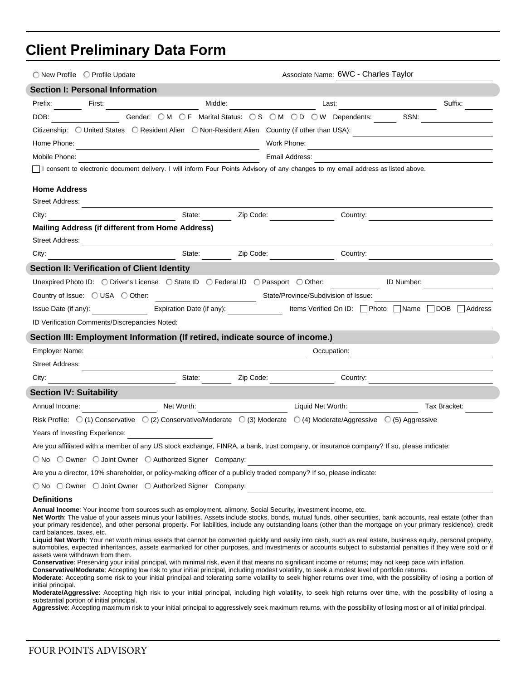## **Client Preliminary Data Form**

|                                | O New Profile O Profile Update                     |                                                                                                                                                                                                                                                                                                              |             | Associate Name: 6WC - Charles Taylor |                                                                                                                                                                                                                                                                                                                                                                                                                                                                                                                                                                                                                                                                        |
|--------------------------------|----------------------------------------------------|--------------------------------------------------------------------------------------------------------------------------------------------------------------------------------------------------------------------------------------------------------------------------------------------------------------|-------------|--------------------------------------|------------------------------------------------------------------------------------------------------------------------------------------------------------------------------------------------------------------------------------------------------------------------------------------------------------------------------------------------------------------------------------------------------------------------------------------------------------------------------------------------------------------------------------------------------------------------------------------------------------------------------------------------------------------------|
|                                | <b>Section I: Personal Information</b>             |                                                                                                                                                                                                                                                                                                              |             |                                      |                                                                                                                                                                                                                                                                                                                                                                                                                                                                                                                                                                                                                                                                        |
| Prefix:                        | First:                                             | Middle:                                                                                                                                                                                                                                                                                                      |             | Last:                                | Suffix:                                                                                                                                                                                                                                                                                                                                                                                                                                                                                                                                                                                                                                                                |
| DOB:                           |                                                    | Gender: OM OF Marital Status: OS OM OD OW Dependents:                                                                                                                                                                                                                                                        |             |                                      | SSN:                                                                                                                                                                                                                                                                                                                                                                                                                                                                                                                                                                                                                                                                   |
|                                |                                                    | Citizenship: O United States O Resident Alien O Non-Resident Alien Country (if other than USA):                                                                                                                                                                                                              |             |                                      |                                                                                                                                                                                                                                                                                                                                                                                                                                                                                                                                                                                                                                                                        |
| Home Phone:                    |                                                    | <u> 1980 - Johann Barn, mars ann an t-Amhain ann an t-Amhain an t-Amhain an t-Amhain an t-Amhain ann an t-Amhain </u>                                                                                                                                                                                        | Work Phone: |                                      |                                                                                                                                                                                                                                                                                                                                                                                                                                                                                                                                                                                                                                                                        |
| Mobile Phone:                  |                                                    |                                                                                                                                                                                                                                                                                                              |             | Email Address:                       |                                                                                                                                                                                                                                                                                                                                                                                                                                                                                                                                                                                                                                                                        |
|                                |                                                    | □ I consent to electronic document delivery. I will inform Four Points Advisory of any changes to my email address as listed above.                                                                                                                                                                          |             |                                      |                                                                                                                                                                                                                                                                                                                                                                                                                                                                                                                                                                                                                                                                        |
| <b>Home Address</b>            |                                                    |                                                                                                                                                                                                                                                                                                              |             |                                      |                                                                                                                                                                                                                                                                                                                                                                                                                                                                                                                                                                                                                                                                        |
| Street Address:                |                                                    |                                                                                                                                                                                                                                                                                                              |             |                                      |                                                                                                                                                                                                                                                                                                                                                                                                                                                                                                                                                                                                                                                                        |
| City:                          |                                                    | State:                                                                                                                                                                                                                                                                                                       | Zip Code:   | Country:                             |                                                                                                                                                                                                                                                                                                                                                                                                                                                                                                                                                                                                                                                                        |
|                                |                                                    | <b>Mailing Address (if different from Home Address)</b>                                                                                                                                                                                                                                                      |             |                                      |                                                                                                                                                                                                                                                                                                                                                                                                                                                                                                                                                                                                                                                                        |
| Street Address:                |                                                    |                                                                                                                                                                                                                                                                                                              |             |                                      |                                                                                                                                                                                                                                                                                                                                                                                                                                                                                                                                                                                                                                                                        |
| City:                          |                                                    | State:                                                                                                                                                                                                                                                                                                       | Zip Code:   | Country:                             |                                                                                                                                                                                                                                                                                                                                                                                                                                                                                                                                                                                                                                                                        |
|                                | <b>Section II: Verification of Client Identity</b> |                                                                                                                                                                                                                                                                                                              |             |                                      |                                                                                                                                                                                                                                                                                                                                                                                                                                                                                                                                                                                                                                                                        |
|                                |                                                    | Unexpired Photo ID: $\bigcirc$ Driver's License $\bigcirc$ State ID $\bigcirc$ Federal ID $\bigcirc$ Passport $\bigcirc$ Other:                                                                                                                                                                              |             |                                      | ID Number:                                                                                                                                                                                                                                                                                                                                                                                                                                                                                                                                                                                                                                                             |
|                                | Country of Issue: $\bigcirc$ USA $\bigcirc$ Other: |                                                                                                                                                                                                                                                                                                              |             | State/Province/Subdivision of Issue: |                                                                                                                                                                                                                                                                                                                                                                                                                                                                                                                                                                                                                                                                        |
|                                | Issue Date (if any):                               | Expiration Date (if any):                                                                                                                                                                                                                                                                                    |             |                                      | Items Verified On ID: Photo Name DOB Address                                                                                                                                                                                                                                                                                                                                                                                                                                                                                                                                                                                                                           |
|                                | ID Verification Comments/Discrepancies Noted:      |                                                                                                                                                                                                                                                                                                              |             |                                      |                                                                                                                                                                                                                                                                                                                                                                                                                                                                                                                                                                                                                                                                        |
|                                |                                                    | Section III: Employment Information (If retired, indicate source of income.)                                                                                                                                                                                                                                 |             |                                      |                                                                                                                                                                                                                                                                                                                                                                                                                                                                                                                                                                                                                                                                        |
| <b>Employer Name:</b>          |                                                    | <u> 1989 - Johann Stein, mars an deutscher Stein und der Stein und der Stein und der Stein und der Stein und der</u>                                                                                                                                                                                         |             | Occupation:                          |                                                                                                                                                                                                                                                                                                                                                                                                                                                                                                                                                                                                                                                                        |
| Street Address:                |                                                    |                                                                                                                                                                                                                                                                                                              |             |                                      |                                                                                                                                                                                                                                                                                                                                                                                                                                                                                                                                                                                                                                                                        |
| City:                          |                                                    | State:                                                                                                                                                                                                                                                                                                       | Zip Code:   | Country:                             |                                                                                                                                                                                                                                                                                                                                                                                                                                                                                                                                                                                                                                                                        |
| <b>Section IV: Suitability</b> |                                                    |                                                                                                                                                                                                                                                                                                              |             |                                      |                                                                                                                                                                                                                                                                                                                                                                                                                                                                                                                                                                                                                                                                        |
| Annual Income:                 |                                                    | Net Worth:                                                                                                                                                                                                                                                                                                   |             | Liquid Net Worth:                    | Tax Bracket:                                                                                                                                                                                                                                                                                                                                                                                                                                                                                                                                                                                                                                                           |
|                                |                                                    | Risk Profile: $\bigcirc$ (1) Conservative $\bigcirc$ (2) Conservative/Moderate $\bigcirc$ (3) Moderate $\bigcirc$ (4) Moderate/Aggressive $\bigcirc$ (5) Aggressive                                                                                                                                          |             |                                      |                                                                                                                                                                                                                                                                                                                                                                                                                                                                                                                                                                                                                                                                        |
| Years of Investing Experience: |                                                    |                                                                                                                                                                                                                                                                                                              |             |                                      |                                                                                                                                                                                                                                                                                                                                                                                                                                                                                                                                                                                                                                                                        |
|                                |                                                    | Are you affiliated with a member of any US stock exchange, FINRA, a bank, trust company, or insurance company? If so, please indicate:                                                                                                                                                                       |             |                                      |                                                                                                                                                                                                                                                                                                                                                                                                                                                                                                                                                                                                                                                                        |
|                                |                                                    | $\bigcirc$ No $\bigcirc$ Owner $\bigcirc$ Joint Owner $\bigcirc$ Authorized Signer Company:                                                                                                                                                                                                                  |             |                                      |                                                                                                                                                                                                                                                                                                                                                                                                                                                                                                                                                                                                                                                                        |
|                                |                                                    | Are you a director, 10% shareholder, or policy-making officer of a publicly traded company? If so, please indicate:                                                                                                                                                                                          |             |                                      |                                                                                                                                                                                                                                                                                                                                                                                                                                                                                                                                                                                                                                                                        |
|                                |                                                    | ◯ No ◯ Owner ◯ Joint Owner ◯ Authorized Signer Company:                                                                                                                                                                                                                                                      |             |                                      |                                                                                                                                                                                                                                                                                                                                                                                                                                                                                                                                                                                                                                                                        |
| <b>Definitions</b>             |                                                    |                                                                                                                                                                                                                                                                                                              |             |                                      |                                                                                                                                                                                                                                                                                                                                                                                                                                                                                                                                                                                                                                                                        |
| card balances, taxes, etc.     |                                                    | <b>Annual Income</b> : Your income from sources such as employment, alimony, Social Security, investment income, etc.                                                                                                                                                                                        |             |                                      | Net Worth: The value of your assets minus your liabilities. Assets include stocks, bonds, mutual funds, other securities, bank accounts, real estate (other than<br>your primary residence), and other personal property. For liabilities, include any outstanding loans (other than the mortgage on your primary residence), credit<br>Liquid Net Worth: Your net worth minus assets that cannot be converted quickly and easily into cash, such as real estate, business equity, personal property,<br>automobiles, expected inheritances, assets earmarked for other purposes, and investments or accounts subject to substantial penalties if they were sold or if |
|                                | assets were withdrawn from them.                   | Conservative: Preserving your initial principal, with minimal risk, even if that means no significant income or returns; may not keep pace with inflation.<br>Conservative/Moderate: Accepting low risk to your initial principal, including modest volatility, to seek a modest level of portfolio returns. |             |                                      |                                                                                                                                                                                                                                                                                                                                                                                                                                                                                                                                                                                                                                                                        |

**Moderate**: Accepting some risk to your initial principal and tolerating some volatility to seek higher returns over time, with the possibility of losing a portion of initial principal. **Moderate/Aggressive**: Accepting high risk to your initial principal, including high volatility, to seek high returns over time, with the possibility of losing a

substantial portion of initial principal. 

**Aggressive**: Accepting maximum risk to your initial principal to aggressively seek maximum returns, with the possibility of losing most or all of initial principal.

C

C

 $\overline{(\ }$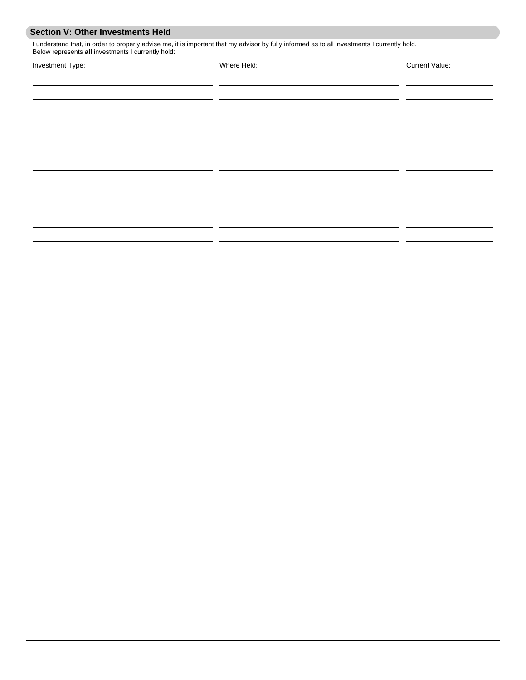|  |  |  | Section V: Other Investments Held |  |
|--|--|--|-----------------------------------|--|
|--|--|--|-----------------------------------|--|

I understand that, in order to properly advise me, it is important that my advisor by fully informed as to all investments I currently hold. Below represents **all** investments I currently hold:

| Investment Type: |  |
|------------------|--|
|------------------|--|

**Investment Type:** Where Held: Current Value:

| ______                                                                                                                                                                                                                               |                                                                                                                                                                                                                                      |  |
|--------------------------------------------------------------------------------------------------------------------------------------------------------------------------------------------------------------------------------------|--------------------------------------------------------------------------------------------------------------------------------------------------------------------------------------------------------------------------------------|--|
|                                                                                                                                                                                                                                      |                                                                                                                                                                                                                                      |  |
|                                                                                                                                                                                                                                      | _______                                                                                                                                                                                                                              |  |
|                                                                                                                                                                                                                                      | ________________                                                                                                                                                                                                                     |  |
|                                                                                                                                                                                                                                      |                                                                                                                                                                                                                                      |  |
| <u> The Communication of the Communication of the Communication of the Communication of the Communication of the Communication of the Communication of the Communication of the Communication of the Communication of the Commun</u> | <u> The Common State Common State Common State Common State Common State Common State Common State Common State Common State Common State Common State Common State Common State Common State Common State Common State Common S</u> |  |
|                                                                                                                                                                                                                                      | <u> 1989 - Andrea Andrew Maria (h. 1989).</u>                                                                                                                                                                                        |  |
|                                                                                                                                                                                                                                      | <u> 1989 - Andrea San Andrea San Andrea San Andrea San Andrea San Andrea San Andrea San Andrea San Andrea San An</u>                                                                                                                 |  |
|                                                                                                                                                                                                                                      |                                                                                                                                                                                                                                      |  |
|                                                                                                                                                                                                                                      |                                                                                                                                                                                                                                      |  |
|                                                                                                                                                                                                                                      | <u> The Communication of the Communication of the Communication of the Communication of the Communication of the Communication of the Communication of the Communication of the Communication of the Communication of the Commun</u> |  |
|                                                                                                                                                                                                                                      |                                                                                                                                                                                                                                      |  |
|                                                                                                                                                                                                                                      |                                                                                                                                                                                                                                      |  |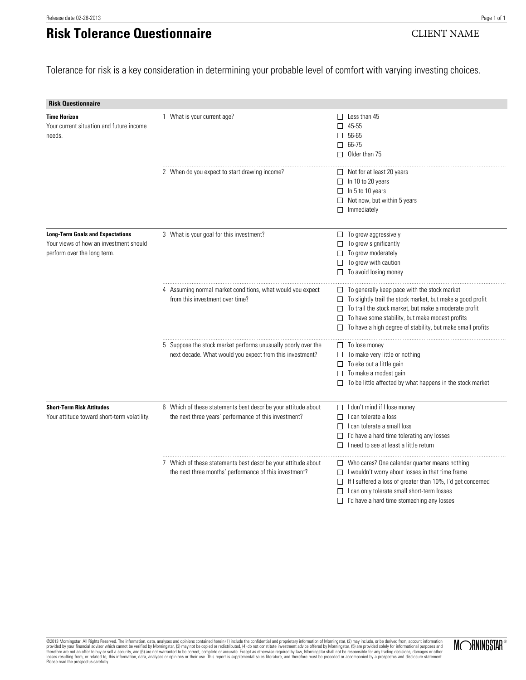## **Risk Tolerance Questionnaire**

## **CLIENT NAME**

Tolerance for risk is a key consideration in determining your probable level of comfort with varying investing choices.

| <b>Risk Questionnaire</b>                                                                                        |                                                                                                                           |                                                                                                                                                                                                                                                                                                             |
|------------------------------------------------------------------------------------------------------------------|---------------------------------------------------------------------------------------------------------------------------|-------------------------------------------------------------------------------------------------------------------------------------------------------------------------------------------------------------------------------------------------------------------------------------------------------------|
| <b>Time Horizon</b><br>Your current situation and future income<br>needs.                                        | 1 What is your current age?                                                                                               | Less than 45<br>45-55<br>56-65<br>$\Box$ 66-75<br>Older than 75                                                                                                                                                                                                                                             |
|                                                                                                                  | 2 When do you expect to start drawing income?                                                                             | $\Box$ Not for at least 20 years<br>$\Box$ In 10 to 20 years<br>$\Box$ In 5 to 10 years<br>$\Box$ Not now, but within 5 years<br>Immediately                                                                                                                                                                |
| <b>Long-Term Goals and Expectations</b><br>Your views of how an investment should<br>perform over the long term. | 3 What is your goal for this investment?                                                                                  | $\Box$ To grow aggressively<br>$\Box$ To grow significantly<br>$\Box$ To grow moderately<br>$\Box$ To grow with caution<br>$\Box$ To avoid losing money                                                                                                                                                     |
|                                                                                                                  | 4 Assuming normal market conditions, what would you expect<br>from this investment over time?                             | $\Box$ To generally keep pace with the stock market<br>□ To slightly trail the stock market, but make a good profit<br>$\Box$ To trail the stock market, but make a moderate profit<br>$\Box$ To have some stability, but make modest profits<br>To have a high degree of stability, but make small profits |
|                                                                                                                  | 5 Suppose the stock market performs unusually poorly over the<br>next decade. What would you expect from this investment? | $\Box$ To lose money<br>$\Box$ To make very little or nothing<br>$\Box$ To eke out a little gain<br>$\Box$ To make a modest gain<br>To be little affected by what happens in the stock market                                                                                                               |
| <b>Short-Term Risk Attitudes</b><br>Your attitude toward short-term volatility.                                  | 6 Which of these statements best describe your attitude about<br>the next three years' performance of this investment?    | $\Box$ I don't mind if I lose money<br>I can tolerate a loss<br>$\Box$ I can tolerate a small loss<br>$\Box$ I'd have a hard time tolerating any losses<br>I need to see at least a little return                                                                                                           |
|                                                                                                                  | 7 Which of these statements best describe your attitude about<br>the next three months' performance of this investment?   | $\Box$ Who cares? One calendar quarter means nothing<br>□ I wouldn't worry about losses in that time frame<br>□ If I suffered a loss of greater than 10%, I'd get concerned<br>I can only tolerate small short-term losses<br>$\Box$ I'd have a hard time stomaching any losses                             |

**MORNINGSTAR**